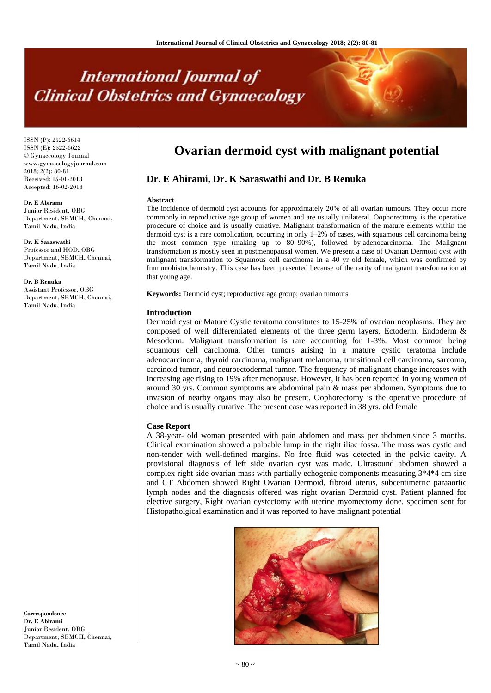# **International Journal of Clinical Obstetrics and Gynaecology**

ISSN (P): 2522-6614 ISSN (E): 2522-6622 © Gynaecology Journal www.gynaecologyjournal.com  $2018$ ;  $2(2)$ : 80-81 Received: 15-01-2018 Accepted: 16-02-2018

**Dr. E Abirami** Junior Resident, OBG Department, SBMCH, Chennai, Tamil Nadu, India

**Dr. K Saraswathi** Professor and HOD, OBG Department, SBMCH, Chennai, Tamil Nadu, India

**Dr. B Renuka** Assistant Professor, OBG Department, SBMCH, Chennai, Tamil Nadu, India

**Correspondence Dr. E Abirami** Junior Resident, OBG Department, SBMCH, Chennai,

Tamil Nadu, India

**Ovarian dermoid cyst with malignant potential**

## **Dr. E Abirami, Dr. K Saraswathi and Dr. B Renuka**

#### **Abstract**

The incidence of dermoid cyst accounts for approximately 20% of all ovarian tumours. They occur more commonly in reproductive age group of women and are usually unilateral. Oophorectomy is the operative procedure of choice and is usually curative. Malignant transformation of the mature elements within the dermoid cyst is a rare complication, occurring in only 1–2% of cases, with squamous cell carcinoma being the most common type (making up to 80–90%), followed by adenocarcinoma. The Malignant transformation is mostly seen in postmenopausal women. We present a case of Ovarian Dermoid cyst with malignant transformation to Squamous cell carcinoma in a 40 yr old female, which was confirmed by Immunohistochemistry. This case has been presented because of the rarity of malignant transformation at that young age.

**Keywords:** Dermoid cyst; reproductive age group; ovarian tumours

#### **Introduction**

Dermoid cyst or Mature Cystic teratoma constitutes to 15-25% of ovarian neoplasms. They are composed of well differentiated elements of the three germ layers, Ectoderm, Endoderm & Mesoderm. Malignant transformation is rare accounting for 1-3%. Most common being squamous cell carcinoma. Other tumors arising in a mature cystic teratoma include adenocarcinoma, thyroid carcinoma, malignant melanoma, transitional cell carcinoma, sarcoma, carcinoid tumor, and neuroectodermal tumor. The frequency of malignant change increases with increasing age rising to 19% after menopause. However, it has been reported in young women of around 30 yrs. Common symptoms are abdominal pain & mass per abdomen. Symptoms due to invasion of nearby organs may also be present. Oophorectomy is the operative procedure of choice and is usually curative. The present case was reported in 38 yrs. old female

#### **Case Report**

A 38-year- old woman presented with pain abdomen and mass per abdomen since 3 months. Clinical examination showed a palpable lump in the right iliac fossa. The mass was cystic and non-tender with well-defined margins. No free fluid was detected in the pelvic cavity. A provisional diagnosis of left side ovarian cyst was made. Ultrasound abdomen showed a complex right side ovarian mass with partially echogenic components measuring 3\*4\*4 cm size and CT Abdomen showed Right Ovarian Dermoid, fibroid uterus, subcentimetric paraaortic lymph nodes and the diagnosis offered was right ovarian Dermoid cyst. Patient planned for elective surgery, Right ovarian cystectomy with uterine myomectomy done, specimen sent for Histopatholgical examination and it was reported to have malignant potential